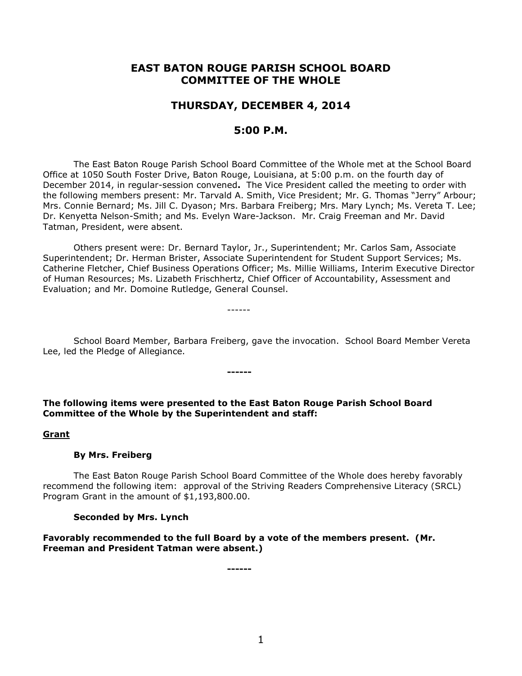# **EAST BATON ROUGE PARISH SCHOOL BOARD COMMITTEE OF THE WHOLE**

# **THURSDAY, DECEMBER 4, 2014**

## **5:00 P.M.**

The East Baton Rouge Parish School Board Committee of the Whole met at the School Board Office at 1050 South Foster Drive, Baton Rouge, Louisiana, at 5:00 p.m. on the fourth day of December 2014, in regular-session convened**.** The Vice President called the meeting to order with the following members present: Mr. Tarvald A. Smith, Vice President; Mr. G. Thomas "Jerry" Arbour; Mrs. Connie Bernard; Ms. Jill C. Dyason; Mrs. Barbara Freiberg; Mrs. Mary Lynch; Ms. Vereta T. Lee; Dr. Kenyetta Nelson-Smith; and Ms. Evelyn Ware-Jackson. Mr. Craig Freeman and Mr. David Tatman, President, were absent.

Others present were: Dr. Bernard Taylor, Jr., Superintendent; Mr. Carlos Sam, Associate Superintendent; Dr. Herman Brister, Associate Superintendent for Student Support Services; Ms. Catherine Fletcher, Chief Business Operations Officer; Ms. Millie Williams, Interim Executive Director of Human Resources; Ms. Lizabeth Frischhertz, Chief Officer of Accountability, Assessment and Evaluation; and Mr. Domoine Rutledge, General Counsel.

School Board Member, Barbara Freiberg, gave the invocation. School Board Member Vereta Lee, led the Pledge of Allegiance.

## **The following items were presented to the East Baton Rouge Parish School Board Committee of the Whole by the Superintendent and staff:**

**------**

------

#### **Grant**

#### **By Mrs. Freiberg**

The East Baton Rouge Parish School Board Committee of the Whole does hereby favorably recommend the following item: approval of the Striving Readers Comprehensive Literacy (SRCL) Program Grant in the amount of \$1,193,800.00.

#### **Seconded by Mrs. Lynch**

**Favorably recommended to the full Board by a vote of the members present. (Mr. Freeman and President Tatman were absent.)**

**------**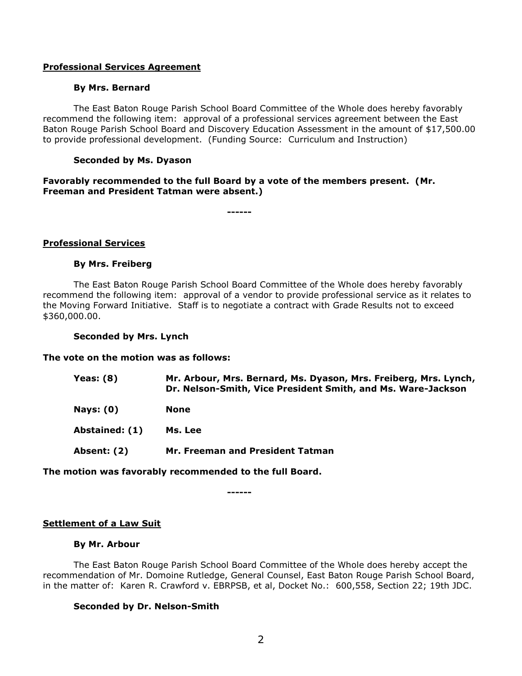## **Professional Services Agreement**

## **By Mrs. Bernard**

The East Baton Rouge Parish School Board Committee of the Whole does hereby favorably recommend the following item: approval of a professional services agreement between the East Baton Rouge Parish School Board and Discovery Education Assessment in the amount of \$17,500.00 to provide professional development. (Funding Source: Curriculum and Instruction)

## **Seconded by Ms. Dyason**

## **Favorably recommended to the full Board by a vote of the members present. (Mr. Freeman and President Tatman were absent.)**

**------**

## **Professional Services**

#### **By Mrs. Freiberg**

The East Baton Rouge Parish School Board Committee of the Whole does hereby favorably recommend the following item: approval of a vendor to provide professional service as it relates to the Moving Forward Initiative. Staff is to negotiate a contract with Grade Results not to exceed \$360,000.00.

#### **Seconded by Mrs. Lynch**

#### **The vote on the motion was as follows:**

| Yeas: $(8)$    | Mr. Arbour, Mrs. Bernard, Ms. Dyason, Mrs. Freiberg, Mrs. Lynch,<br>Dr. Nelson-Smith, Vice President Smith, and Ms. Ware-Jackson |
|----------------|----------------------------------------------------------------------------------------------------------------------------------|
| Nays: $(0)$    | None                                                                                                                             |
| Abstained: (1) | Ms. Lee                                                                                                                          |
| Absent: (2)    | Mr. Freeman and President Tatman                                                                                                 |

## **The motion was favorably recommended to the full Board.**

**------**

#### **Settlement of a Law Suit**

## **By Mr. Arbour**

The East Baton Rouge Parish School Board Committee of the Whole does hereby accept the recommendation of Mr. Domoine Rutledge, General Counsel, East Baton Rouge Parish School Board, in the matter of: Karen R. Crawford v. EBRPSB, et al, Docket No.: 600,558, Section 22; 19th JDC.

## **Seconded by Dr. Nelson-Smith**